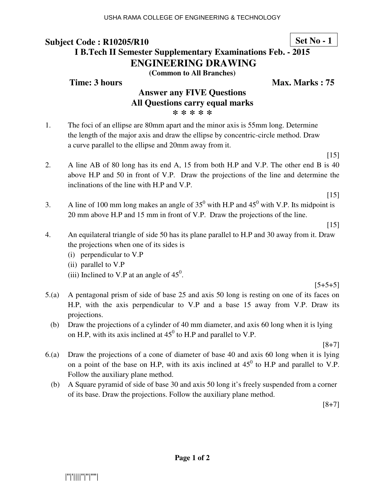**Set No - 1**

# **I B.Tech II Semester Supplementary Examinations Feb. - 2015 ENGINEERING DRAWING**

**(Common to All Branches)**

### **Time: 3 hours** Max. Marks : 75

### **Answer any FIVE Questions All Questions carry equal marks \* \* \* \* \***

1. The foci of an ellipse are 80mm apart and the minor axis is 55mm long. Determine the length of the major axis and draw the ellipse by concentric-circle method. Draw a curve parallel to the ellipse and 20mm away from it.

- 2. A line AB of 80 long has its end A, 15 from both H.P and V.P. The other end B is 40 above H.P and 50 in front of V.P. Draw the projections of the line and determine the inclinations of the line with H.P and V.P.
	- $[15]$

 $[15]$ 

3. A line of 100 mm long makes an angle of  $35^0$  with H.P and  $45^0$  with V.P. Its midpoint is 20 mm above H.P and 15 mm in front of V.P. Draw the projections of the line.

[15]

- 4. An equilateral triangle of side 50 has its plane parallel to H.P and 30 away from it. Draw the projections when one of its sides is
	- (i) perpendicular to V.P
	- (ii) parallel to V.P
- (iii) Inclined to V.P at an angle of  $45^\circ$ .

 $[5+5+5]$ 

- 5.(a) A pentagonal prism of side of base 25 and axis 50 long is resting on one of its faces on H.P, with the axis perpendicular to V.P and a base 15 away from V.P. Draw its projections.
	- (b) Draw the projections of a cylinder of 40 mm diameter, and axis 60 long when it is lying on H.P, with its axis inclined at  $45^0$  to H.P and parallel to V.P.

 $[8+7]$ 

- 6.(a) Draw the projections of a cone of diameter of base 40 and axis 60 long when it is lying on a point of the base on H.P, with its axis inclined at  $45^{\circ}$  to H.P and parallel to V.P. Follow the auxiliary plane method.
	- (b) A Square pyramid of side of base 30 and axis 50 long it's freely suspended from a corner of its base. Draw the projections. Follow the auxiliary plane method.

[8+7]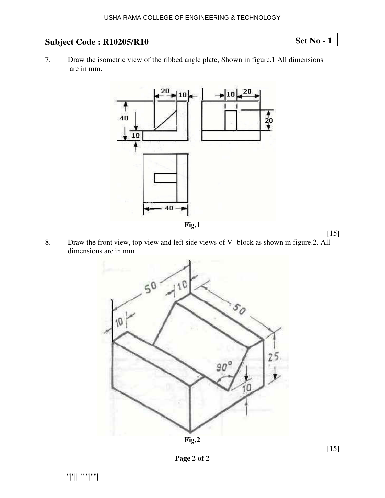# **Set No - 1**

7. Draw the isometric view of the ribbed angle plate, Shown in figure.1 All dimensions are in mm.



8. Draw the front view, top view and left side views of V- block as shown in figure.2. All dimensions are in mm





[15]

**Page 2 of 2**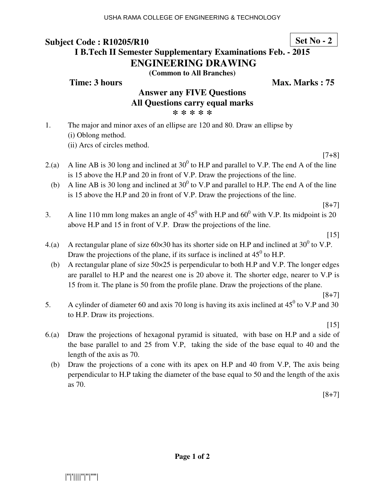**Set No - 2**

# **I B.Tech II Semester Supplementary Examinations Feb. - 2015 ENGINEERING DRAWING**

**(Common to All Branches)**

### **Time: 3 hours** Max. Marks : 75

# **Answer any FIVE Questions All Questions carry equal marks**

**\* \* \* \* \*** 

1. The major and minor axes of an ellipse are 120 and 80. Draw an ellipse by (i) Oblong method. (ii) Arcs of circles method.

 $[7+8]$ 

- 2.(a) A line AB is 30 long and inclined at 30<sup>0</sup> to H.P and parallel to V.P. The end A of the line is 15 above the H.P and 20 in front of V.P. Draw the projections of the line.
- (b) A line AB is 30 long and inclined at  $30^0$  to V.P and parallel to H.P. The end A of the line is 15 above the H.P and 20 in front of V.P. Draw the projections of the line.

[8+7]

3. A line 110 mm long makes an angle of  $45^{\circ}$  with H.P and  $60^{\circ}$  with V.P. Its midpoint is 20 above H.P and 15 in front of V.P. Draw the projections of the line.

[15]

- 4.(a) A rectangular plane of size  $60 \times 30$  has its shorter side on H.P and inclined at  $30^0$  to V.P. Draw the projections of the plane, if its surface is inclined at  $45^{\circ}$  to H.P.
	- (b) A rectangular plane of size 50×25 is perpendicular to both H.P and V.P. The longer edges are parallel to H.P and the nearest one is 20 above it. The shorter edge, nearer to V.P is 15 from it. The plane is 50 from the profile plane. Draw the projections of the plane.
- 5. A cylinder of diameter 60 and axis 70 long is having its axis inclined at  $45^{\circ}$  to V.P and 30 to H.P. Draw its projections.

 $[15]$ 

 $[8+7]$ 

- 6.(a) Draw the projections of hexagonal pyramid is situated, with base on H.P and a side of the base parallel to and 25 from V.P, taking the side of the base equal to 40 and the length of the axis as 70.
	- (b) Draw the projections of a cone with its apex on H.P and 40 from V.P, The axis being perpendicular to H.P taking the diameter of the base equal to 50 and the length of the axis as 70.

 $[8+7]$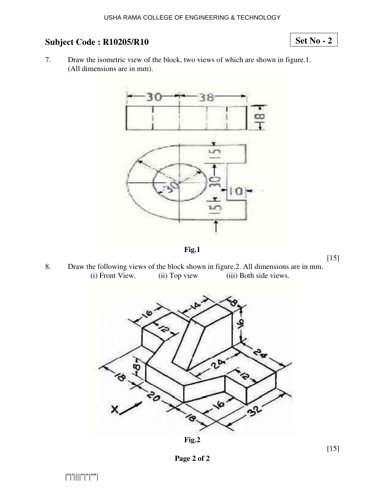# **Set No - 2**

7. Draw the isometric view of the block, two views of which are shown in figure.1. (All dimensions are in mm).





 $[15]$ 

8. Draw the following views of the block shown in figure.2. All dimensions are in mm.<br>(i) Front View. (ii) Top view (iii) Both side views. (iii) Both side views.





[15]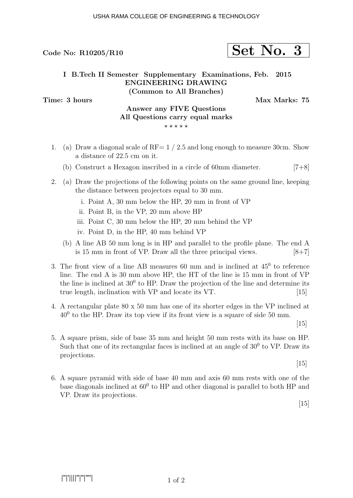### USHA RAMA COLLEGE OF ENGINEERING & TECHNOLOGY

# Code No: R10205/R10  $\vert$  Set No. 3

### I B.Tech II Semester Supplementary Examinations, Feb. 2015 ENGINEERING DRAWING (Common to All Branches)

Time: 3 hours and the matrix of the Max Marks: 75

### Answer any FIVE Questions All Questions carry equal marks  $***$ \*\*

- 1. (a) Draw a diagonal scale of RF=  $1/2.5$  and long enough to measure 30cm. Show a distance of 22.5 cm on it.
	- (b) Construct a Hexagon inscribed in a circle of 60mm diameter. [7+8]
- 2. (a) Draw the projections of the following points on the same ground line, keeping the distance between projectors equal to 30 mm.
	- i. Point A, 30 mm below the HP, 20 mm in front of VP
	- ii. Point B, in the VP, 20 mm above HP
	- iii. Point C, 30 mm below the HP, 20 mm behind the VP
	- iv. Point D, in the HP, 40 mm behind VP
	- (b) A line AB 50 mm long is in HP and parallel to the profile plane. The end A is 15 mm in front of VP. Draw all the three principal views.  $[8+7]$
- 3. The front view of a line AB measures  $60$  mm and is inclined at  $45^{\circ}$  to reference line. The end A is 30 mm above HP, the HT of the line is 15 mm in front of VP the line is inclined at  $30^0$  to HP. Draw the projection of the line and determine its true length, inclination with VP and locate its VT. [15]
- 4. A rectangular plate 80 x 50 mm has one of its shorter edges in the VP inclined at  $40<sup>0</sup>$  to the HP. Draw its top view if its front view is a square of side 50 mm.

 $|15|$ 

5. A square prism, side of base 35 mm and height 50 mm rests with its base on HP. Such that one of its rectangular faces is inclined at an angle of  $30<sup>0</sup>$  to VP. Draw its projections.

[15]

6. A square pyramid with side of base 40 mm and axis 60 mm rests with one of the base diagonals inclined at  $60^0$  to HP and other diagonal is parallel to both HP and VP. Draw its projections.

 $[15]$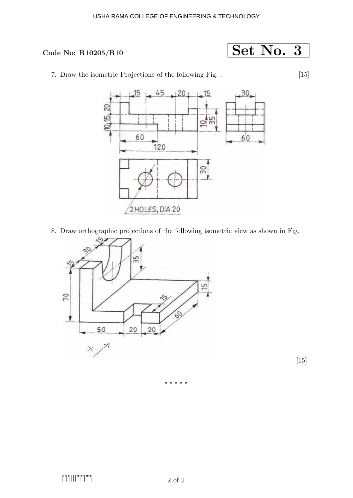### USHA RAMA COLLEGE OF ENGINEERING & TECHNOLOGY

### Code No:  $R10205/R10$

$$
\fbox{Set No. 3}
$$

7. Draw the isometric Projections of the following Fig. . [15]



8. Draw orthographic projections of the following isometric view as shown in Fig.



[15]

⋆ ⋆ ⋆ ⋆ ⋆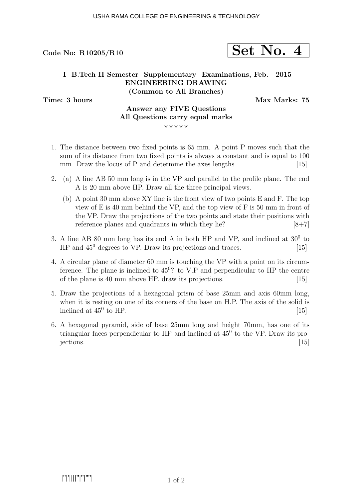# Code No: R10205/R10  $\left| \text{Set No. 4}\right|$

### I B.Tech II Semester Supplementary Examinations, Feb. 2015 ENGINEERING DRAWING (Common to All Branches)

Time: 3 hours and the matrix of the Max Marks: 75

# Answer any FIVE Questions All Questions carry equal marks

 $***$ \*\*

- 1. The distance between two fixed points is 65 mm. A point P moves such that the sum of its distance from two fixed points is always a constant and is equal to 100 mm. Draw the locus of  $P$  and determine the axes lengths.  $[15]$
- 2. (a) A line AB 50 mm long is in the VP and parallel to the profile plane. The end A is 20 mm above HP. Draw all the three principal views.
	- (b) A point 30 mm above XY line is the front view of two points E and F. The top view of E is 40 mm behind the VP, and the top view of F is 50 mm in front of the VP. Draw the projections of the two points and state their positions with reference planes and quadrants in which they lie?  $[8+7]$
- 3. A line AB 80 mm long has its end A in both HP and VP, and inclined at  $30^0$  to  $HP$  and  $45^{\circ}$  degrees to VP. Draw its projections and traces. [15]
- 4. A circular plane of diameter 60 mm is touching the VP with a point on its circumference. The plane is inclined to  $45^0$ ? to V.P and perpendicular to HP the centre of the plane is 40 mm above HP. draw its projections. [15]
- 5. Draw the projections of a hexagonal prism of base 25mm and axis 60mm long, when it is resting on one of its corners of the base on H.P. The axis of the solid is inclined at  $45^{\circ}$  to HP. to HP.  $[15]$
- 6. A hexagonal pyramid, side of base 25mm long and height 70mm, has one of its triangular faces perpendicular to  $HP$  and inclined at  $45^{\circ}$  to the VP. Draw its pro- $\text{jections.}$  [15]